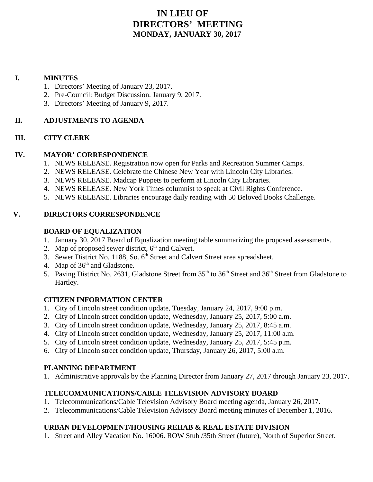# **IN LIEU OF DIRECTORS' MEETING MONDAY, JANUARY 30, 2017**

# **I. MINUTES**

- 1. Directors' Meeting of January 23, 2017.
- 2. Pre-Council: Budget Discussion. January 9, 2017.
- 3. Directors' Meeting of January 9, 2017.

# **II. ADJUSTMENTS TO AGENDA**

# **III. CITY CLERK**

# **IV. MAYOR' CORRESPONDENCE**

- 1. NEWS RELEASE. Registration now open for Parks and Recreation Summer Camps.
- 2. NEWS RELEASE. Celebrate the Chinese New Year with Lincoln City Libraries.
- 3. NEWS RELEASE. Madcap Puppets to perform at Lincoln City Libraries.
- 4. NEWS RELEASE. New York Times columnist to speak at Civil Rights Conference.
- 5. NEWS RELEASE. Libraries encourage daily reading with 50 Beloved Books Challenge.

# **V. DIRECTORS CORRESPONDENCE**

# **BOARD OF EQUALIZATION**

- 1. January 30, 2017 Board of Equalization meeting table summarizing the proposed assessments.
- 2. Map of proposed sewer district,  $6<sup>th</sup>$  and Calvert.
- 3. Sewer District No. 1188, So. 6<sup>th</sup> Street and Calvert Street area spreadsheet.
- 4. Map of  $36<sup>th</sup>$  and Gladstone.
- 5. Paving District No. 2631, Gladstone Street from  $35<sup>th</sup>$  to  $36<sup>th</sup>$  Street and  $36<sup>th</sup>$  Street from Gladstone to Hartley.

# **CITIZEN INFORMATION CENTER**

- 1. City of Lincoln street condition update, Tuesday, January 24, 2017, 9:00 p.m.
- 2. City of Lincoln street condition update, Wednesday, January 25, 2017, 5:00 a.m.
- 3. City of Lincoln street condition update, Wednesday, January 25, 2017, 8:45 a.m.
- 4. City of Lincoln street condition update, Wednesday, January 25, 2017, 11:00 a.m.
- 5. City of Lincoln street condition update, Wednesday, January 25, 2017, 5:45 p.m.
- 6. City of Lincoln street condition update, Thursday, January 26, 2017, 5:00 a.m.

# **PLANNING DEPARTMENT**

1. Administrative approvals by the Planning Director from January 27, 2017 through January 23, 2017.

# **TELECOMMUNICATIONS/CABLE TELEVISION ADVISORY BOARD**

- 1. Telecommunications/Cable Television Advisory Board meeting agenda, January 26, 2017.
- 2. Telecommunications/Cable Television Advisory Board meeting minutes of December 1, 2016.

# **URBAN DEVELOPMENT/HOUSING REHAB & REAL ESTATE DIVISION**

1. Street and Alley Vacation No. 16006. ROW Stub /35th Street (future), North of Superior Street.